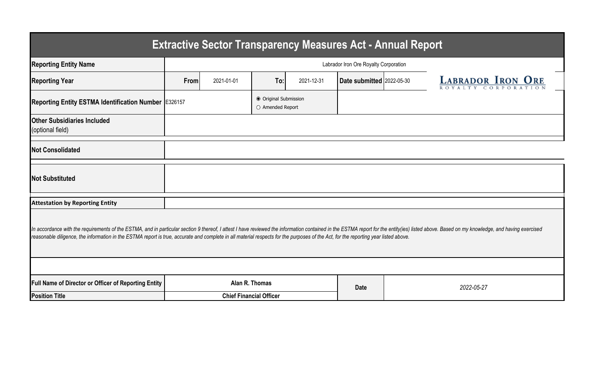| <b>Extractive Sector Transparency Measures Act - Annual Report</b>                                                                                                                                                                                                                                                                                                                                                    |                                       |            |                                           |            |                           |  |                          |  |  |  |  |
|-----------------------------------------------------------------------------------------------------------------------------------------------------------------------------------------------------------------------------------------------------------------------------------------------------------------------------------------------------------------------------------------------------------------------|---------------------------------------|------------|-------------------------------------------|------------|---------------------------|--|--------------------------|--|--|--|--|
| <b>Reporting Entity Name</b>                                                                                                                                                                                                                                                                                                                                                                                          | Labrador Iron Ore Royalty Corporation |            |                                           |            |                           |  |                          |  |  |  |  |
| <b>Reporting Year</b>                                                                                                                                                                                                                                                                                                                                                                                                 | From                                  | 2021-01-01 | To:                                       | 2021-12-31 | Date submitted 2022-05-30 |  | <b>LABRADOR IRON ORE</b> |  |  |  |  |
| Reporting Entity ESTMA Identification Number E326157                                                                                                                                                                                                                                                                                                                                                                  |                                       |            | ● Original Submission<br>O Amended Report |            |                           |  |                          |  |  |  |  |
| <b>Other Subsidiaries Included</b><br>(optional field)                                                                                                                                                                                                                                                                                                                                                                |                                       |            |                                           |            |                           |  |                          |  |  |  |  |
| <b>Not Consolidated</b>                                                                                                                                                                                                                                                                                                                                                                                               |                                       |            |                                           |            |                           |  |                          |  |  |  |  |
| <b>Not Substituted</b>                                                                                                                                                                                                                                                                                                                                                                                                |                                       |            |                                           |            |                           |  |                          |  |  |  |  |
| <b>Attestation by Reporting Entity</b>                                                                                                                                                                                                                                                                                                                                                                                |                                       |            |                                           |            |                           |  |                          |  |  |  |  |
| In accordance with the requirements of the ESTMA, and in particular section 9 thereof, I attest I have reviewed the information contained in the ESTMA report for the entity(ies) listed above. Based on my knowledge, and hav<br>reasonable diligence, the information in the ESTMA report is true, accurate and complete in all material respects for the purposes of the Act, for the reporting year listed above. |                                       |            |                                           |            |                           |  |                          |  |  |  |  |
|                                                                                                                                                                                                                                                                                                                                                                                                                       |                                       |            |                                           |            |                           |  |                          |  |  |  |  |
| Full Name of Director or Officer of Reporting Entity                                                                                                                                                                                                                                                                                                                                                                  |                                       |            | Alan R. Thomas                            |            | <b>Date</b>               |  | 2022-05-27               |  |  |  |  |
| <b>Position Title</b>                                                                                                                                                                                                                                                                                                                                                                                                 |                                       |            | <b>Chief Financial Officer</b>            |            |                           |  |                          |  |  |  |  |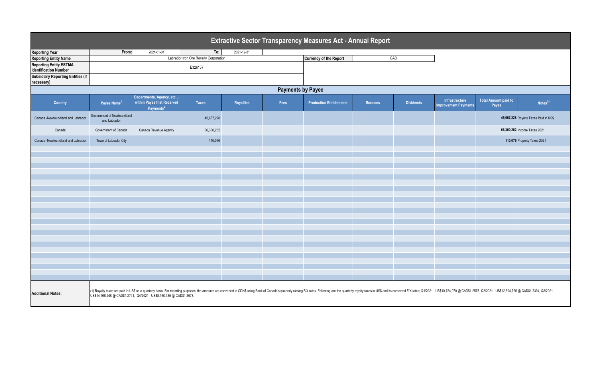| Extractive Sector Transparency Measures Act - Annual Report   |                                                                                                                                                                                                                                                                                                           |                                                                                 |              |            |      |                                |                |                  |                                               |                                      |                                       |  |
|---------------------------------------------------------------|-----------------------------------------------------------------------------------------------------------------------------------------------------------------------------------------------------------------------------------------------------------------------------------------------------------|---------------------------------------------------------------------------------|--------------|------------|------|--------------------------------|----------------|------------------|-----------------------------------------------|--------------------------------------|---------------------------------------|--|
| <b>Reporting Year</b>                                         | From:                                                                                                                                                                                                                                                                                                     | 2021-01-01                                                                      | To:          | 2021-12-31 |      |                                |                |                  |                                               |                                      |                                       |  |
| <b>Reporting Entity Name</b>                                  | Labrador Iron Ore Royalty Corporation                                                                                                                                                                                                                                                                     |                                                                                 |              |            |      | <b>Currency of the Report</b>  | CAD            |                  |                                               |                                      |                                       |  |
| <b>Reporting Entity ESTMA</b><br><b>Identification Number</b> | E326157                                                                                                                                                                                                                                                                                                   |                                                                                 |              |            |      |                                |                |                  |                                               |                                      |                                       |  |
| <b>Subsidiary Reporting Entities (if</b><br>necessary)        |                                                                                                                                                                                                                                                                                                           |                                                                                 |              |            |      |                                |                |                  |                                               |                                      |                                       |  |
| <b>Payments by Payee</b>                                      |                                                                                                                                                                                                                                                                                                           |                                                                                 |              |            |      |                                |                |                  |                                               |                                      |                                       |  |
| <b>Country</b>                                                | Payee Name <sup>1</sup>                                                                                                                                                                                                                                                                                   | Departments, Agency, etc<br>within Payee that Received<br>Payments <sup>2</sup> | <b>Taxes</b> | Royalties  | Fees | <b>Production Entitlements</b> | <b>Bonuses</b> | <b>Dividends</b> | Infrastructure<br><b>Improvement Payments</b> | <b>Total Amount paid to</b><br>Payee | Notes <sup>34</sup>                   |  |
| Canada -Newfoundland and Labrador                             | Government of Newfoundland<br>and Labrador                                                                                                                                                                                                                                                                |                                                                                 | 45,657,228   |            |      |                                |                |                  |                                               |                                      | 45,657,228 Royalty Taxes Paid in US\$ |  |
| Canada                                                        | Government of Canada                                                                                                                                                                                                                                                                                      | Canada Revenue Agency                                                           | 66,300,262   |            |      |                                |                |                  |                                               | 66,300,262 Income Taxes 2021         |                                       |  |
| Canada -Newfoundland and Labrador                             | Town of Labrador City                                                                                                                                                                                                                                                                                     |                                                                                 | 110,076      |            |      |                                |                |                  |                                               | 110,076 Property Taxes 2021          |                                       |  |
|                                                               |                                                                                                                                                                                                                                                                                                           |                                                                                 |              |            |      |                                |                |                  |                                               |                                      |                                       |  |
|                                                               |                                                                                                                                                                                                                                                                                                           |                                                                                 |              |            |      |                                |                |                  |                                               |                                      |                                       |  |
|                                                               |                                                                                                                                                                                                                                                                                                           |                                                                                 |              |            |      |                                |                |                  |                                               |                                      |                                       |  |
|                                                               |                                                                                                                                                                                                                                                                                                           |                                                                                 |              |            |      |                                |                |                  |                                               |                                      |                                       |  |
|                                                               |                                                                                                                                                                                                                                                                                                           |                                                                                 |              |            |      |                                |                |                  |                                               |                                      |                                       |  |
|                                                               |                                                                                                                                                                                                                                                                                                           |                                                                                 |              |            |      |                                |                |                  |                                               |                                      |                                       |  |
|                                                               |                                                                                                                                                                                                                                                                                                           |                                                                                 |              |            |      |                                |                |                  |                                               |                                      |                                       |  |
|                                                               |                                                                                                                                                                                                                                                                                                           |                                                                                 |              |            |      |                                |                |                  |                                               |                                      |                                       |  |
|                                                               |                                                                                                                                                                                                                                                                                                           |                                                                                 |              |            |      |                                |                |                  |                                               |                                      |                                       |  |
|                                                               |                                                                                                                                                                                                                                                                                                           |                                                                                 |              |            |      |                                |                |                  |                                               |                                      |                                       |  |
|                                                               |                                                                                                                                                                                                                                                                                                           |                                                                                 |              |            |      |                                |                |                  |                                               |                                      |                                       |  |
|                                                               |                                                                                                                                                                                                                                                                                                           |                                                                                 |              |            |      |                                |                |                  |                                               |                                      |                                       |  |
|                                                               |                                                                                                                                                                                                                                                                                                           |                                                                                 |              |            |      |                                |                |                  |                                               |                                      |                                       |  |
|                                                               |                                                                                                                                                                                                                                                                                                           |                                                                                 |              |            |      |                                |                |                  |                                               |                                      |                                       |  |
|                                                               |                                                                                                                                                                                                                                                                                                           |                                                                                 |              |            |      |                                |                |                  |                                               |                                      |                                       |  |
|                                                               |                                                                                                                                                                                                                                                                                                           |                                                                                 |              |            |      |                                |                |                  |                                               |                                      |                                       |  |
|                                                               |                                                                                                                                                                                                                                                                                                           |                                                                                 |              |            |      |                                |                |                  |                                               |                                      |                                       |  |
|                                                               |                                                                                                                                                                                                                                                                                                           |                                                                                 |              |            |      |                                |                |                  |                                               |                                      |                                       |  |
|                                                               |                                                                                                                                                                                                                                                                                                           |                                                                                 |              |            |      |                                |                |                  |                                               |                                      |                                       |  |
|                                                               |                                                                                                                                                                                                                                                                                                           |                                                                                 |              |            |      |                                |                |                  |                                               |                                      |                                       |  |
| <b>Additional Notes:</b>                                      | (1) Royalty taxes are paid in US\$ on a quarterly basis. For reporting purposes, the amounts are converted to CDN\$ using Bank of Canada's quarterly closing F/X rates. Following are the quarterly royalty taxes in US\$ and its<br>US\$14,168,248 @ CAD\$1.2741, Q4/2021 - US\$8,160,185 @ CAD\$1.2678. |                                                                                 |              |            |      |                                |                |                  |                                               |                                      |                                       |  |